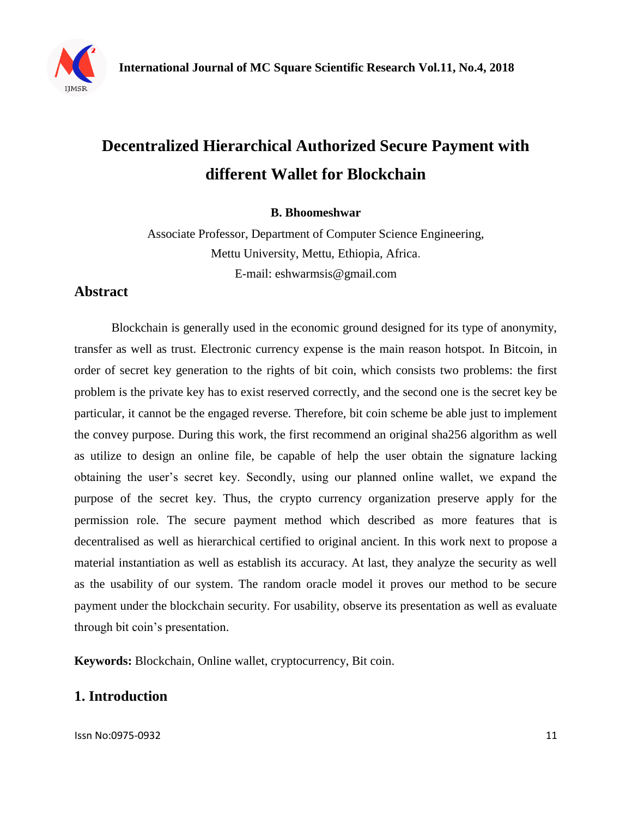

# **Decentralized Hierarchical Authorized Secure Payment with different Wallet for Blockchain**

**B. Bhoomeshwar**

Associate Professor, Department of Computer Science Engineering, Mettu University, Mettu, Ethiopia, Africa. E-mail: eshwarmsis@gmail.com

## **Abstract**

Blockchain is generally used in the economic ground designed for its type of anonymity, transfer as well as trust. Electronic currency expense is the main reason hotspot. In Bitcoin, in order of secret key generation to the rights of bit coin, which consists two problems: the first problem is the private key has to exist reserved correctly, and the second one is the secret key be particular, it cannot be the engaged reverse. Therefore, bit coin scheme be able just to implement the convey purpose. During this work, the first recommend an original sha256 algorithm as well as utilize to design an online file, be capable of help the user obtain the signature lacking obtaining the user's secret key. Secondly, using our planned online wallet, we expand the purpose of the secret key. Thus, the crypto currency organization preserve apply for the permission role. The secure payment method which described as more features that is decentralised as well as hierarchical certified to original ancient. In this work next to propose a material instantiation as well as establish its accuracy. At last, they analyze the security as well as the usability of our system. The random oracle model it proves our method to be secure payment under the blockchain security. For usability, observe its presentation as well as evaluate through bit coin's presentation.

**Keywords:** Blockchain, Online wallet, cryptocurrency, Bit coin.

## **1. Introduction**

Issn No:0975-0932 11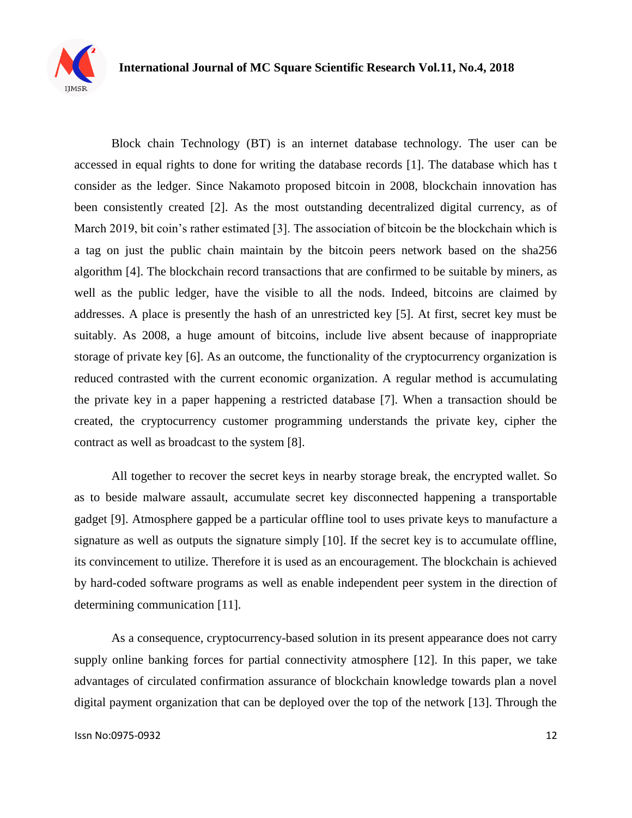

Block chain Technology (BT) is an internet database technology. The user can be accessed in equal rights to done for writing the database records [1]. The database which has t consider as the ledger. Since Nakamoto proposed bitcoin in 2008, blockchain innovation has been consistently created [2]. As the most outstanding decentralized digital currency, as of March 2019, bit coin's rather estimated [3]. The association of bitcoin be the blockchain which is a tag on just the public chain maintain by the bitcoin peers network based on the sha256 algorithm [4]. The blockchain record transactions that are confirmed to be suitable by miners, as well as the public ledger, have the visible to all the nods. Indeed, bitcoins are claimed by addresses. A place is presently the hash of an unrestricted key [5]. At first, secret key must be suitably. As 2008, a huge amount of bitcoins, include live absent because of inappropriate storage of private key [6]. As an outcome, the functionality of the cryptocurrency organization is reduced contrasted with the current economic organization. A regular method is accumulating the private key in a paper happening a restricted database [7]. When a transaction should be created, the cryptocurrency customer programming understands the private key, cipher the contract as well as broadcast to the system [8].

All together to recover the secret keys in nearby storage break, the encrypted wallet. So as to beside malware assault, accumulate secret key disconnected happening a transportable gadget [9]. Atmosphere gapped be a particular offline tool to uses private keys to manufacture a signature as well as outputs the signature simply [10]. If the secret key is to accumulate offline, its convincement to utilize. Therefore it is used as an encouragement. The blockchain is achieved by hard-coded software programs as well as enable independent peer system in the direction of determining communication [11].

As a consequence, cryptocurrency-based solution in its present appearance does not carry supply online banking forces for partial connectivity atmosphere [12]. In this paper, we take advantages of circulated confirmation assurance of blockchain knowledge towards plan a novel digital payment organization that can be deployed over the top of the network [13]. Through the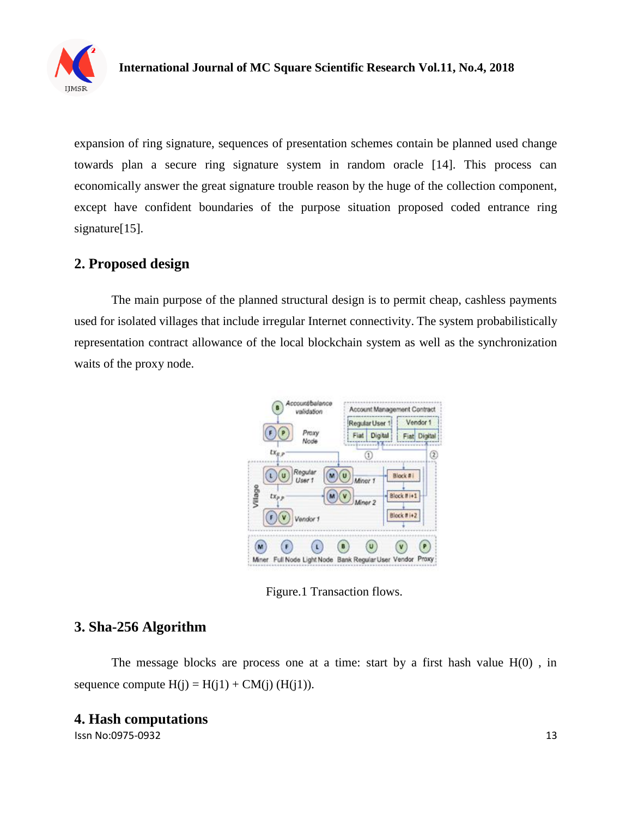

expansion of ring signature, sequences of presentation schemes contain be planned used change towards plan a secure ring signature system in random oracle [14]. This process can economically answer the great signature trouble reason by the huge of the collection component, except have confident boundaries of the purpose situation proposed coded entrance ring signature<sup>[15]</sup>.

#### **2. Proposed design**

The main purpose of the planned structural design is to permit cheap, cashless payments used for isolated villages that include irregular Internet connectivity. The system probabilistically representation contract allowance of the local blockchain system as well as the synchronization waits of the proxy node.



Figure.1 Transaction flows.

## **3. Sha-256 Algorithm**

The message blocks are process one at a time: start by a first hash value  $H(0)$ , in sequence compute  $H(j) = H(j1) + CM(j)$  ( $H(j1)$ ).

#### **4. Hash computations**

Issn No:0975-0932 13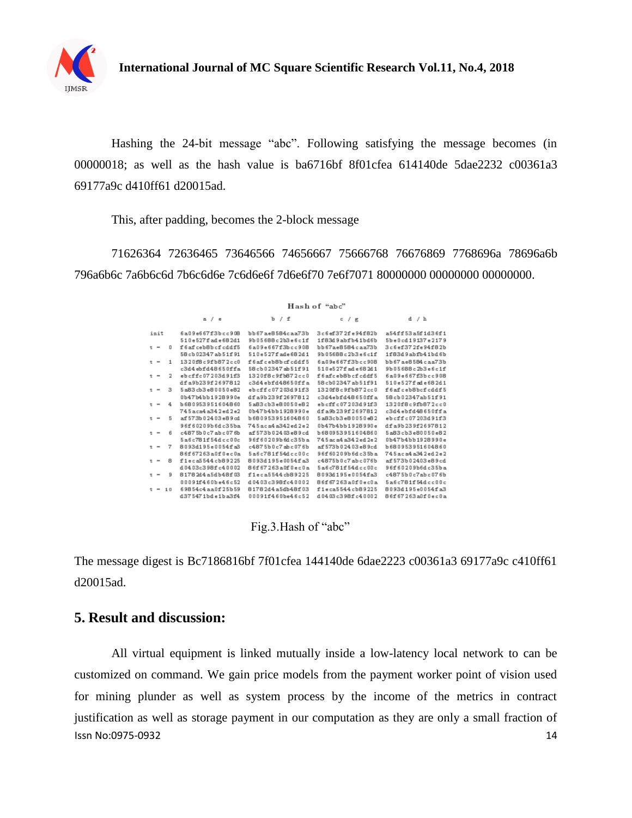

Hashing the 24-bit message "abc". Following satisfying the message becomes (in 00000018; as well as the hash value is ba6716bf 8f01cfea 614140de 5dae2232 c00361a3 69177a9c d410ff61 d20015ad.

This, after padding, becomes the 2-block message

71626364 72636465 73646566 74656667 75666768 76676869 7768696a 78696a6b 796a6b6c 7a6b6c6d 7b6c6d6e 7c6d6e6f 7d6e6f70 7e6f7071 80000000 00000000 00000000.

|       |  |    | Hash of "abc"        |                       |                        |                   |  |  |  |  |
|-------|--|----|----------------------|-----------------------|------------------------|-------------------|--|--|--|--|
|       |  |    | a/e                  | b / f                 | c / g                  | $d \neq k$        |  |  |  |  |
| imit  |  |    | 6a09e667f3bcc908     | bb67ae8584caa73b      | 3c6ef372fe94f82b       | a54ff53a5f1d36f1  |  |  |  |  |
|       |  |    | 510e527fade682d1     | 9b05688c2b3e6c1f      | 1f83d9abfb41bd6b       | 5be0cd19137e2179  |  |  |  |  |
| $t =$ |  | o  | f6afceb8bcfcddf5     | 6a09e667f3bcc908      | bb67ae8584caa73b       | 3c6ef372fe94f82b  |  |  |  |  |
|       |  |    | 58cb02347ab51f91     | 510e527fade682d1      | 9b05688c2b3e6c1f       | 1f83d9abfb41bd6b  |  |  |  |  |
| $t =$ |  | 1  | 1320f8c9fb872cc0     | f6afceb8bcfcddf5      | 6a09e667f3bcc908       | bb67ae8584caa73b  |  |  |  |  |
|       |  |    | c3d4ebfd48650ffa     | 58cb02347ab51f91      | 510e527fade682d1       | 9b05688c2b3e6c1f  |  |  |  |  |
| $t =$ |  | 2  | ebcffc07203d91f3     | 1320f8c9fb872cc0      | f6afceb8bcfcddf5       | 6a09e667f3bcc908  |  |  |  |  |
|       |  |    | dfa9b239f2697812     | c3d4ebfd48650ffa      | 58cb02347ab51f91       | 510e527fade682d1  |  |  |  |  |
| $t =$ |  | з  | 5a83cb3e80050e82     | ebcffc07203d91f3      | 1320f8c9fb872cc0       | f6afceb8bcfcddf5  |  |  |  |  |
|       |  |    | 0b47b4bb1928990e     | dfa9b239f2697812      | c3d4ebfd48650ffa       | 58cb02347ab51f91  |  |  |  |  |
| $t =$ |  | 4  | 6680953951604860     | 5a83cb3e80050e82      | ebcffc07203d91f3       | 1320f8c9fb872cc0  |  |  |  |  |
|       |  |    | 745aca4a342ed2e2     | 0b47b4bb1928990e      | dfa9b239f2697812       | c3d4ebfd48650ffa  |  |  |  |  |
| $t -$ |  | 5  | af 573b 02403 e89 of | 680953951604860       | 5a83cb3e80050e82       | ebcffc07203d91f3  |  |  |  |  |
|       |  |    | 96f60209b6dc35ba     | 745aca4a342ed2e2      | 0b47b4bb1928990e       | dfa9b239f2697812  |  |  |  |  |
| $t =$ |  | 6  | c4875b0c7abc076b     | af 573b02403e89cd     | 680953951604860        | 5a83cb3e80050e82  |  |  |  |  |
|       |  |    | 5a6c781f54dcc00c     | 96f60209b6dc35ba      | 745 ac a4 a342 ed 2e 2 | 0b47b4bb1928990e  |  |  |  |  |
| $t =$ |  | 7  | 8093d195e0054fa3     | c4875b0c7abc076b      | af 573b02403e89cd      | 6680953951604860  |  |  |  |  |
|       |  |    | 86f67263a0f0ec0a     | 5a6c781f54dcc00c      | 96f60209b6dc35ba       | 745aca4a342ed2e2  |  |  |  |  |
| $t =$ |  | 8  | f1eca5544cb89225     | 8093d195e0054fa3      | c4875b0c7abc076b       | af 573b02403e89cd |  |  |  |  |
|       |  |    | d0403c398fc40002     | 86f67263a0f0ec0a      | 5a6c781f54dcc00c       | 96f60209b6dc35ba  |  |  |  |  |
| $t =$ |  | 9  | 8178244a5db48f03     | f1eca5544cb89225      | 8093d195e0054fa3       | c4875b0c7abc076b  |  |  |  |  |
|       |  |    | 00091f460be46c52     | d 04 03 c3 98fc4 0002 | 86f67263a0f0ec0a       | 5a6c781f54dcc00c  |  |  |  |  |
| $t =$ |  | 10 | 69854c4aa0f25b59     | 81782d4a5db48f03      | f1eca5544cb89225       | 8093d195e0054fa3  |  |  |  |  |
|       |  |    | d375471bde1ba3f4     | 00091f460be46c52      | d0403c398fc40002       | 86f67263a0f0ec0a  |  |  |  |  |

Fig.3.Hash of "abc"

The message digest is Bc7186816bf 7f01cfea 144140de 6dae2223 c00361a3 69177a9c c410ff61 d20015ad.

#### **5. Result and discussion:**

Issn No:0975-0932 14 All virtual equipment is linked mutually inside a low-latency local network to can be customized on command. We gain price models from the payment worker point of vision used for mining plunder as well as system process by the income of the metrics in contract justification as well as storage payment in our computation as they are only a small fraction of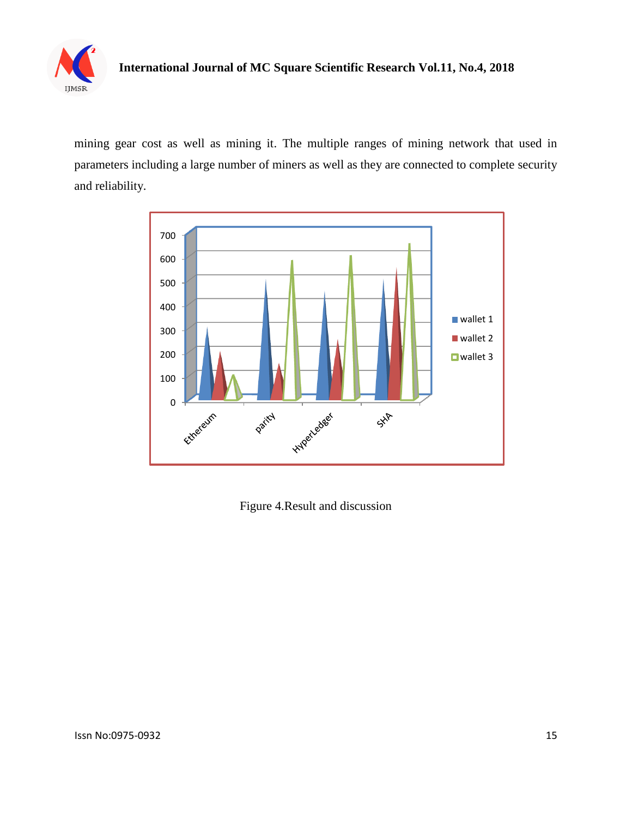

### **International Journal of MC Square Scientific Research Vol.11, No.4, 2018**

mining gear cost as well as mining it. The multiple ranges of mining network that used in parameters including a large number of miners as well as they are connected to complete security and reliability.



Figure 4.Result and discussion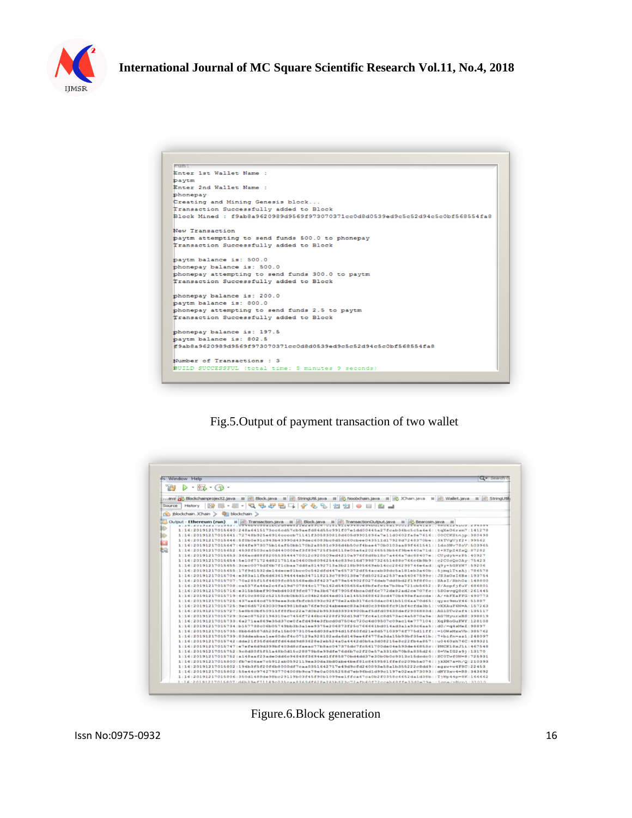

| <b>KURT</b> |                                                                                |
|-------------|--------------------------------------------------------------------------------|
|             | Enter 1st Wallet Name :                                                        |
| paytm       |                                                                                |
|             | Enter 2nd Wallet Name :                                                        |
| phonepay    |                                                                                |
|             | Creating and Mining Genesis block                                              |
|             | Transaction Successfully added to Block                                        |
|             | Block Mined : f9ab8a9620989d9569f973070371cc0d8d0539ed9c5c52d94c5c0bf568554fa8 |
|             | New Transaction                                                                |
|             | paytm attempting to send funds 500.0 to phonepay                               |
|             | Transaction Successfully added to Block                                        |
|             | paytm balance is: 500.0                                                        |
|             | phonepay balance is: 500.0                                                     |
|             | phonepay attempting to send funds 300.0 to paytm                               |
|             | Transaction Successfully added to Block                                        |
|             | phonepay balance is: 200.0                                                     |
|             | paytm balance is: 800.0                                                        |
|             | phonepay attempting to send funds 2.5 to paytm                                 |
|             | Transaction Successfully added to Block                                        |
|             | phonepay balance is: 197.5                                                     |
|             | baytm balance is: 802.5                                                        |
|             | #9ab8a9620989d9569f973070371cc0d8d0539ed9c5c52d94c5c0bf568554fa8               |
|             | Number of Transactions : 3                                                     |
|             | BUILD SUCCESSFUL (total time: 5 minutes 9 seconds)                             |

Fig.5.Output of payment transaction of two wallet

| Window                  | Help                                                                                                                                           | Q - Search |  |  |  |  |
|-------------------------|------------------------------------------------------------------------------------------------------------------------------------------------|------------|--|--|--|--|
| $\cdot$ (in<br>×        |                                                                                                                                                |            |  |  |  |  |
|                         | ava as Blockchainproject2.java 国 (8) Block.java 国 (8) StringUtil.java 国 (6) Noobchain.java 国 (6) Xhain.java 国 (6) Wallet.java 国 (6) StringUtil |            |  |  |  |  |
| Source                  | 5555<br><b>GP</b><br><b>910</b><br>History                                                                                                     |            |  |  |  |  |
| (S) jblockchain. JChain | <b>QTI</b> blockchain                                                                                                                          |            |  |  |  |  |
|                         | 65 Transaction.java . III 85 Block.java . III 85 TransactionOutput.java . III 65 Bearcoin.java<br>Output - Ethereum (run)<br>$_{\text{H}}$     |            |  |  |  |  |
|                         | <b>BUNUBBAINCAUSWWSAINAWRENCHI</b><br><b>RAAM PHILIM PHILIMA PHA PULLE</b><br>日にじたえる マルジコ 、よ クマコガマ                                             |            |  |  |  |  |
|                         | 415173cc6cd57cb9aefd84d55c991f07e1dd0044<br>fcab36bc5c5a4e6::tqXeO6rsm7:141278<br>1:16:2019121701                                              |            |  |  |  |  |
|                         | 1:16:20191217015641:72748b925e6916eeeeb71141f305830818d605d9901896a7e11d0602fa8e7616::00CCKStnip:380498                                        |            |  |  |  |  |
| E.                      | 1:16:20191217015646:5f0b0e91c943b43990d439dec6083bc8d53c60cbee043511d17928d7248370be::3kTVgVjf2+:99562                                         |            |  |  |  |  |
| ŧŵ                      | 1:16:20191217015647:484fe973075b16af50bb170b2a8581c936d4b50cf4bae470b0103aa89f461541::1do3Nv78oV:503965                                        |            |  |  |  |  |
|                         | 1:16:20191217015652:4538f503ca50d440008ef3f896725f6d6118e05a6a20266553b54f9be440a71d::2+RTpZ4ZxQ:87282                                         |            |  |  |  |  |
|                         | 1:16:20191217015653:366acd88f820553544470012c920509ed4210a976f8d8b18c7a466a7dc88407e::CUydyk=rP5:40927                                         |            |  |  |  |  |
|                         | 1:16:20191217015654:5e10f71724d8217516a04600b80962544c839c16d7998732651488c766c6b9b9::c2C0cQo0Ay:75423                                         |            |  |  |  |  |
|                         | 1:16:20191217015655:3cec0075df6b7f1cbaa7dd8a81492713a3b218b985669eb14cc286298746e6ad::q9y+5GRYH7:59206                                         |            |  |  |  |  |
|                         | 1:16:20191217015655:17f9d1532de14dece@1bcc0c542dfd447e657372df54acab3@dc5a1@1eb3a40b::5jmqlTtzAj:7@657@                                        |            |  |  |  |  |
|                         | 1:16:20191217015704:e383a11fb6d636194444eb347118213c7890138e7fd50252a2537ea54067599c::JS3xOsI6Bs:193754                                        |            |  |  |  |  |
|                         | 1:16:20191217015707:70a285f15f4609fc855568edb3f4237a879e54902f0276deb7dd8bd2f19f8f0c::SAsI/RbhOz:148800                                        |            |  |  |  |  |
|                         | $1:16:20191217015708:$ ca537fa46e2c4fa19d707844c177b162d5405656a48bfefc4e7b3ba721cb5652::P/AopfifuY:686801                                     |            |  |  |  |  |
|                         | 1:16:20191217015716:a315b5bef909ebd403f9fc0779a3b676f7905f4bca0df6c772de02ad2ce707fc::550avgQ0cX:261445                                        |            |  |  |  |  |
|                         | 1:16:20191217015719:6f10c3802c52158cb0bb31c04b26d64ed011e14553688423cd470b498efaccde::A/+bFEaFFG:490773                                        |            |  |  |  |  |
|                         | 1:16:20191217015725:437ae64cd7599eee3cbfbfcb5093c92f78e2a6b3176c50dac041b5106aa70d65::qysc9muY46:51887                                         |            |  |  |  |  |
|                         | $1:16:20191217015725:9e06d572630309e6981b8ab76f09c24abeeeee83a34d0c394b8fc91bfdcfda3b1::vXXXAuFGN=A;157263$                                    |            |  |  |  |  |
|                         | 1:16:20191217015727:5e8b60bf50915ff8fbc22a7d0b2b9533d33934900baf5dfd09638def2906883d::AG1DTw2xf4:135117                                        |            |  |  |  |  |
|                         | 1:16:20191217015729:3cec87522196310ac7456f7246bc4228f292d19d77fc4a1c8d573ac4a5870a9e::AG7MyurxBS:398819                                        |            |  |  |  |  |
|                         | 1:16:20191217015733:6a271aa869e35d37ce0fafd494e3fbcd0d7504c720c4d09507c09ac14e777104::XqPBoGuFWY:128108                                        |            |  |  |  |  |
|                         | $1:16:20191217015734:$ b157738c06b05749bb3b3a1ee9375e206873f25c766661bd014ad3a1a93c6aa5::d0/=q4sMe2:98897                                      |            |  |  |  |  |
|                         | 1:16:20191217015735:8bb6d587d523fa15b0973105e6d038a894d15f60fd21e8d57103976f775d11ff::=10WaMgaVb:385762                                        |            |  |  |  |  |
|                         | 1:16:20191217015739:83ddeabaalae60dcf4c07129a928182ada6d149ee4f4778a3da15b93bf35e41b::7+bifn=szl:248097                                        |            |  |  |  |  |
|                         | 1:16:20191217015742:dde21f35fd6dffd64dd9d83628e2eb524a0a4442d0b5a3d08215e8c22fb4a857::u0460zh76C:489321                                        |            |  |  |  |  |
|                         | $1:16:20191217015747:$ e7efe6d9d399bf403d8ofaeac77b8ac047375dc7fc561700de04e593de46853c::PMCK18xJ11:467548                                     |            |  |  |  |  |
|                         | 1:16:20191217015752:9c8d80f5f51a48b0d15c28879b8e99dfe76d6b7c2f20e57a3316b70b8a835d26::8=VeIG2s9::13170                                         |            |  |  |  |  |
|                         | 1:16:20191217015752:a148aaf23ade0dd6c94848f3694ed1ff88870bd4dd37e30b0b0c9313c15dcdc0::SC0Twf0N=8:725931                                        |            |  |  |  |  |
|                         | 1:16:20191217015800:fb7e06ae7c5912ab0592119ea30da3bd0abe4bef81c8459581ffefc209b5a076::1kXM7a=h/O:210393                                        |            |  |  |  |  |
|                         | 1:16:20191217015802:194b3f5f20f6b8000df7caa0351642717e49d9cfd240093e58a1b355222c8dd9::eqzv+v4F8C:22453                                         |            |  |  |  |  |
|                         | 1:16:20191217015802:55e44c97427937704008b9ca79e0a0055258d7eb96bd1d99c1197e02ea873093::dNY3xv4=R8:343692                                        |            |  |  |  |  |
|                         | 1:16:20191217015806:350d1488de98bc29119b03f45f90b1099ee1ffca67ca0b2f0358c6652da1d38b::TjNp44p=8K:166662                                        |            |  |  |  |  |
|                         | 1:16:20191217015807:d6b39ef71149c035caa8363df628ab823c72afb60f72ccab68ffe33d0e79e::1one/nNcn1:31010                                            |            |  |  |  |  |

Figure.6.Block generation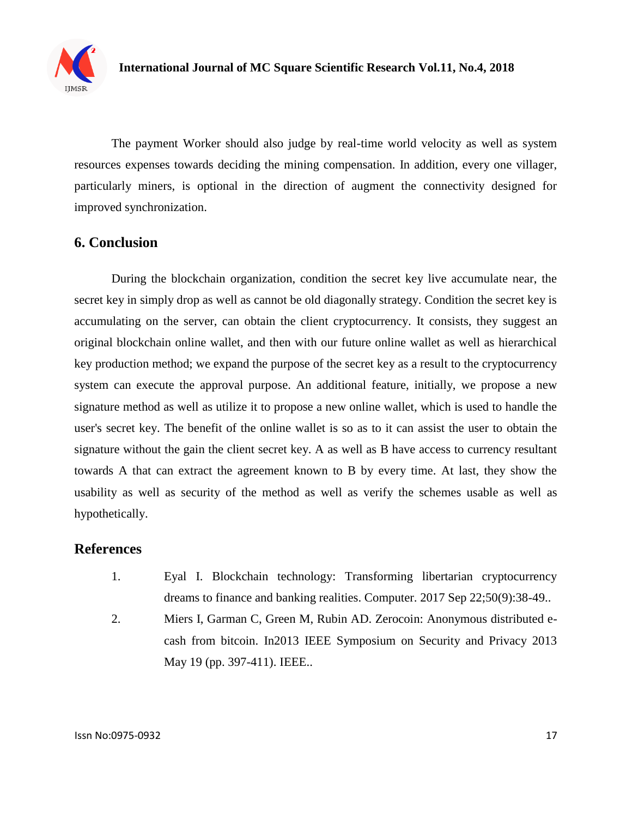

The payment Worker should also judge by real-time world velocity as well as system resources expenses towards deciding the mining compensation. In addition, every one villager, particularly miners, is optional in the direction of augment the connectivity designed for improved synchronization.

#### **6. Conclusion**

During the blockchain organization, condition the secret key live accumulate near, the secret key in simply drop as well as cannot be old diagonally strategy. Condition the secret key is accumulating on the server, can obtain the client cryptocurrency. It consists, they suggest an original blockchain online wallet, and then with our future online wallet as well as hierarchical key production method; we expand the purpose of the secret key as a result to the cryptocurrency system can execute the approval purpose. An additional feature, initially, we propose a new signature method as well as utilize it to propose a new online wallet, which is used to handle the user's secret key. The benefit of the online wallet is so as to it can assist the user to obtain the signature without the gain the client secret key. A as well as B have access to currency resultant towards A that can extract the agreement known to B by every time. At last, they show the usability as well as security of the method as well as verify the schemes usable as well as hypothetically.

#### **References**

- 1. Eyal I. Blockchain technology: Transforming libertarian cryptocurrency dreams to finance and banking realities. Computer. 2017 Sep 22;50(9):38-49..
- 2. Miers I, Garman C, Green M, Rubin AD. Zerocoin: Anonymous distributed ecash from bitcoin. In2013 IEEE Symposium on Security and Privacy 2013 May 19 (pp. 397-411). IEEE..